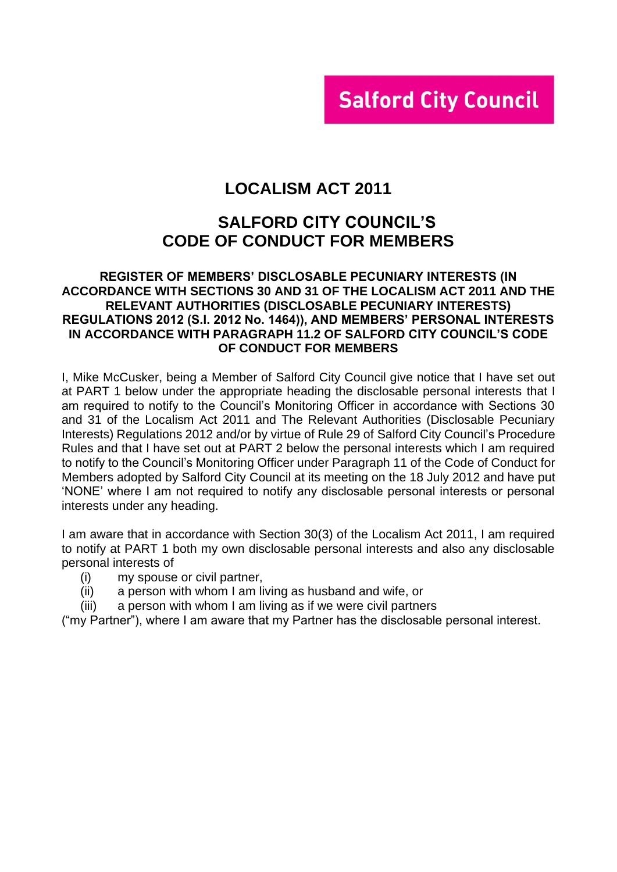# **Salford City Council**

### **LOCALISM ACT 2011**

### **SALFORD CITY COUNCIL'S CODE OF CONDUCT FOR MEMBERS**

#### **REGISTER OF MEMBERS' DISCLOSABLE PECUNIARY INTERESTS (IN ACCORDANCE WITH SECTIONS 30 AND 31 OF THE LOCALISM ACT 2011 AND THE RELEVANT AUTHORITIES (DISCLOSABLE PECUNIARY INTERESTS) REGULATIONS 2012 (S.I. 2012 No. 1464)), AND MEMBERS' PERSONAL INTERESTS IN ACCORDANCE WITH PARAGRAPH 11.2 OF SALFORD CITY COUNCIL'S CODE OF CONDUCT FOR MEMBERS**

I, Mike McCusker, being a Member of Salford City Council give notice that I have set out at PART 1 below under the appropriate heading the disclosable personal interests that I am required to notify to the Council's Monitoring Officer in accordance with Sections 30 and 31 of the Localism Act 2011 and The Relevant Authorities (Disclosable Pecuniary Interests) Regulations 2012 and/or by virtue of Rule 29 of Salford City Council's Procedure Rules and that I have set out at PART 2 below the personal interests which I am required to notify to the Council's Monitoring Officer under Paragraph 11 of the Code of Conduct for Members adopted by Salford City Council at its meeting on the 18 July 2012 and have put 'NONE' where I am not required to notify any disclosable personal interests or personal interests under any heading.

I am aware that in accordance with Section 30(3) of the Localism Act 2011, I am required to notify at PART 1 both my own disclosable personal interests and also any disclosable personal interests of

- (i) my spouse or civil partner,
- (ii) a person with whom I am living as husband and wife, or
- (iii) a person with whom I am living as if we were civil partners

("my Partner"), where I am aware that my Partner has the disclosable personal interest.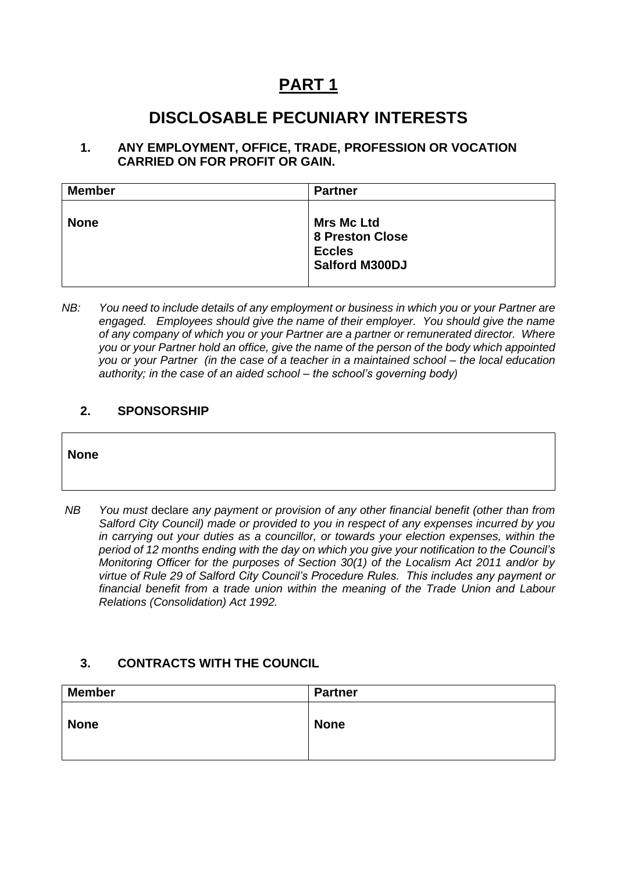# **PART 1**

## **DISCLOSABLE PECUNIARY INTERESTS**

#### **1. ANY EMPLOYMENT, OFFICE, TRADE, PROFESSION OR VOCATION CARRIED ON FOR PROFIT OR GAIN.**

| <b>Member</b> | <b>Partner</b>                                                                        |
|---------------|---------------------------------------------------------------------------------------|
| <b>None</b>   | <b>Mrs Mc Ltd</b><br><b>8 Preston Close</b><br><b>Eccles</b><br><b>Salford M300DJ</b> |

*NB: You need to include details of any employment or business in which you or your Partner are engaged. Employees should give the name of their employer. You should give the name of any company of which you or your Partner are a partner or remunerated director. Where you or your Partner hold an office, give the name of the person of the body which appointed you or your Partner (in the case of a teacher in a maintained school – the local education authority; in the case of an aided school – the school's governing body)*

#### **2. SPONSORSHIP**

#### **None**

*NB You must* declare *any payment or provision of any other financial benefit (other than from Salford City Council) made or provided to you in respect of any expenses incurred by you in carrying out your duties as a councillor, or towards your election expenses, within the period of 12 months ending with the day on which you give your notification to the Council's Monitoring Officer for the purposes of Section 30(1) of the Localism Act 2011 and/or by virtue of Rule 29 of Salford City Council's Procedure Rules. This includes any payment or financial benefit from a trade union within the meaning of the Trade Union and Labour Relations (Consolidation) Act 1992.* 

#### **3. CONTRACTS WITH THE COUNCIL**

| <b>Member</b> | Partner     |
|---------------|-------------|
| <b>None</b>   | <b>None</b> |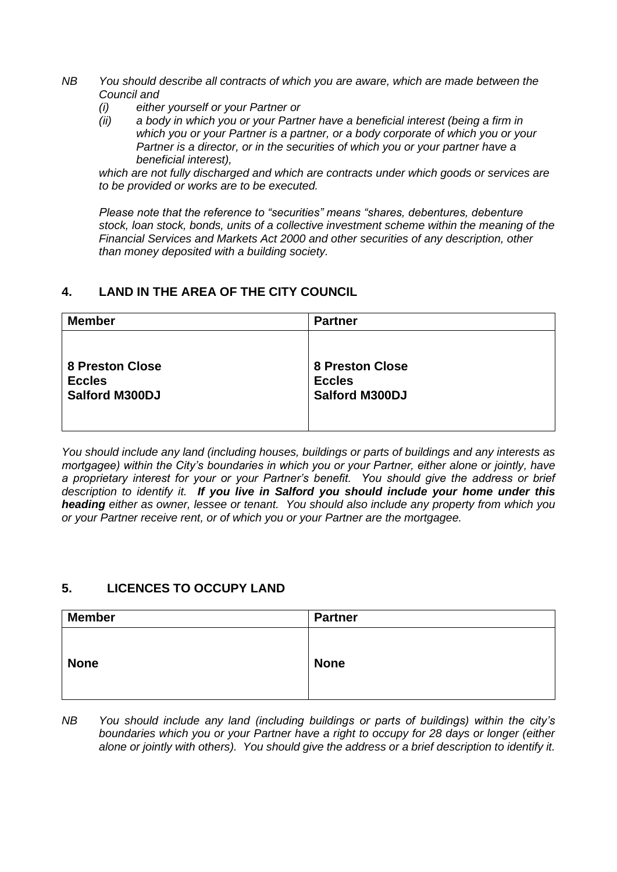- *NB You should describe all contracts of which you are aware, which are made between the Council and* 
	- *(i) either yourself or your Partner or*
	- *(ii) a body in which you or your Partner have a beneficial interest (being a firm in which you or your Partner is a partner, or a body corporate of which you or your Partner is a director, or in the securities of which you or your partner have a beneficial interest),*

*which are not fully discharged and which are contracts under which goods or services are to be provided or works are to be executed.*

*Please note that the reference to "securities" means "shares, debentures, debenture stock, loan stock, bonds, units of a collective investment scheme within the meaning of the Financial Services and Markets Act 2000 and other securities of any description, other than money deposited with a building society.*

#### **4. LAND IN THE AREA OF THE CITY COUNCIL**

| <b>Member</b>          | <b>Partner</b>         |
|------------------------|------------------------|
| <b>8 Preston Close</b> | <b>8 Preston Close</b> |
| <b>Eccles</b>          | <b>Eccles</b>          |
| <b>Salford M300DJ</b>  | <b>Salford M300DJ</b>  |

*You should include any land (including houses, buildings or parts of buildings and any interests as mortgagee) within the City's boundaries in which you or your Partner, either alone or jointly, have a proprietary interest for your or your Partner's benefit. You should give the address or brief description to identify it. If you live in Salford you should include your home under this heading either as owner, lessee or tenant. You should also include any property from which you or your Partner receive rent, or of which you or your Partner are the mortgagee.*

#### **5. LICENCES TO OCCUPY LAND**

|                            | <b>Partner</b> |  |
|----------------------------|----------------|--|
| <b>None</b><br><b>None</b> |                |  |

*NB You should include any land (including buildings or parts of buildings) within the city's boundaries which you or your Partner have a right to occupy for 28 days or longer (either alone or jointly with others). You should give the address or a brief description to identify it.*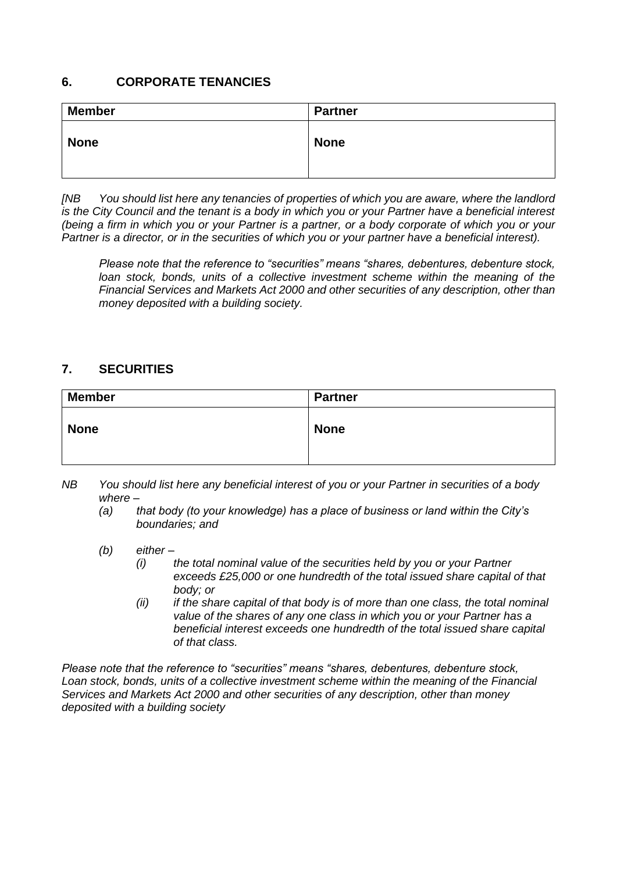#### **6. CORPORATE TENANCIES**

| <b>Member</b> | <b>Partner</b> |
|---------------|----------------|
| <b>None</b>   | <b>None</b>    |

*[NB You should list here any tenancies of properties of which you are aware, where the landlord is the City Council and the tenant is a body in which you or your Partner have a beneficial interest (being a firm in which you or your Partner is a partner, or a body corporate of which you or your Partner is a director, or in the securities of which you or your partner have a beneficial interest).* 

*Please note that the reference to "securities" means "shares, debentures, debenture stock,*  loan stock, bonds, units of a collective investment scheme within the meaning of the *Financial Services and Markets Act 2000 and other securities of any description, other than money deposited with a building society.*

#### **7. SECURITIES**

| <b>Member</b> | <b>Partner</b> |
|---------------|----------------|
| <b>None</b>   | <b>None</b>    |

- *NB You should list here any beneficial interest of you or your Partner in securities of a body where –*
	- *(a) that body (to your knowledge) has a place of business or land within the City's boundaries; and*
	- *(b) either –*
		- *(i) the total nominal value of the securities held by you or your Partner exceeds £25,000 or one hundredth of the total issued share capital of that body; or*
		- *(ii) if the share capital of that body is of more than one class, the total nominal value of the shares of any one class in which you or your Partner has a beneficial interest exceeds one hundredth of the total issued share capital of that class.*

*Please note that the reference to "securities" means "shares, debentures, debenture stock, Loan stock, bonds, units of a collective investment scheme within the meaning of the Financial Services and Markets Act 2000 and other securities of any description, other than money deposited with a building society*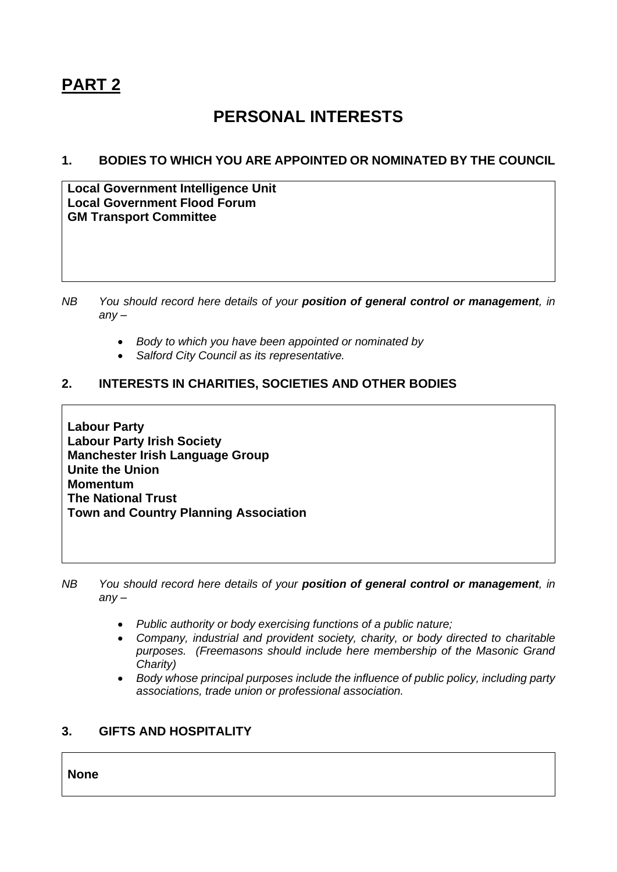# **PART 2**

# **PERSONAL INTERESTS**

#### **1. BODIES TO WHICH YOU ARE APPOINTED OR NOMINATED BY THE COUNCIL**

**Local Government Intelligence Unit Local Government Flood Forum GM Transport Committee** 

- *NB You should record here details of your position of general control or management, in any –*
	- *Body to which you have been appointed or nominated by*
	- *Salford City Council as its representative.*

#### **2. INTERESTS IN CHARITIES, SOCIETIES AND OTHER BODIES**

**Labour Party Labour Party Irish Society Manchester Irish Language Group Unite the Union Momentum The National Trust Town and Country Planning Association**

*NB You should record here details of your position of general control or management, in any –*

- *Public authority or body exercising functions of a public nature;*
- *Company, industrial and provident society, charity, or body directed to charitable purposes. (Freemasons should include here membership of the Masonic Grand Charity)*
- *Body whose principal purposes include the influence of public policy, including party associations, trade union or professional association.*

#### **3. GIFTS AND HOSPITALITY**

**None**